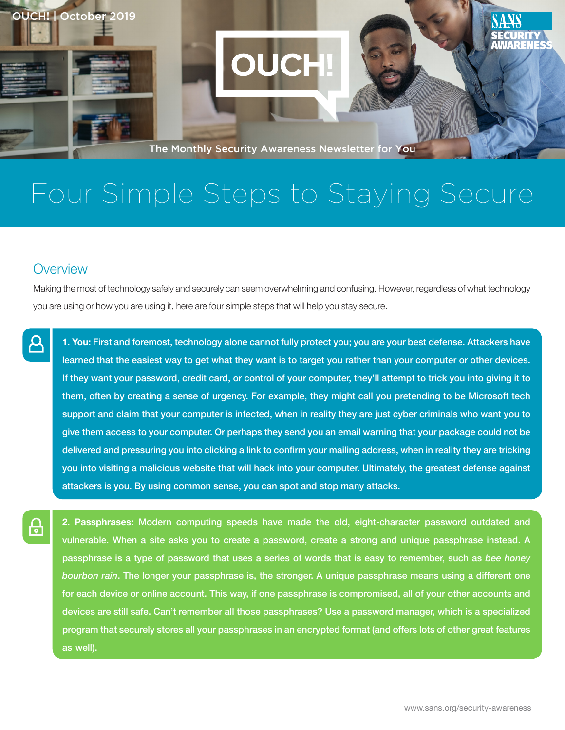The Monthly Security Awareness Newsletter for You

# Four Simple Steps to Staying Secure

## **Overview**

OUCH! | October 2019

Making the most of technology safely and securely can seem overwhelming and confusing. However, regardless of what technology you are using or how you are using it, here are four simple steps that will help you stay secure.

1. You: First and foremost, technology alone cannot fully protect you; you are your best defense. Attackers have learned that the easiest way to get what they want is to target you rather than your computer or other devices. If they want your password, credit card, or control of your computer, they'll attempt to trick you into giving it to them, often by creating a sense of urgency. For example, they might call you pretending to be Microsoft tech support and claim that your computer is infected, when in reality they are just cyber criminals who want you to give them access to your computer. Or perhaps they send you an email warning that your package could not be delivered and pressuring you into clicking a link to confirm your mailing address, when in reality they are tricking you into visiting a malicious website that will hack into your computer. Ultimately, the greatest defense against attackers is you. By using common sense, you can spot and stop many attacks.

2. Passphrases: Modern computing speeds have made the old, eight-character password outdated and vulnerable. When a site asks you to create a password, create a strong and unique passphrase instead. A passphrase is a type of password that uses a series of words that is easy to remember, such as bee honey bourbon rain. The longer your passphrase is, the stronger. A unique passphrase means using a different one for each device or online account. This way, if one passphrase is compromised, all of your other accounts and devices are still safe. Can't remember all those passphrases? Use a password manager, which is a specialized program that securely stores all your passphrases in an encrypted format (and offers lots of other great features as well).